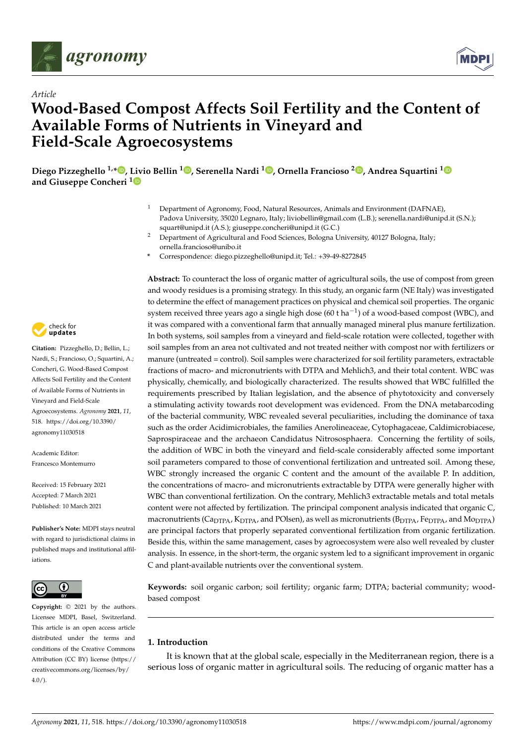



# *Article* **Wood-Based Compost Affects Soil Fertility and the Content of Available Forms of Nutrients in Vineyard and Field-Scale Agroecosystems**

**Diego Pizzeghello 1,\* [,](https://orcid.org/0000-0002-2455-8733) Livio Bellin <sup>1</sup> [,](https://orcid.org/0000-0002-1937-9714) Serenella Nardi <sup>1</sup> [,](https://orcid.org/0000-0002-7851-0065) Ornella Francioso <sup>2</sup> [,](https://orcid.org/0000-0003-0643-7441) Andrea Squartini [1](https://orcid.org/0000-0002-1961-1165) and Giuseppe Concheri [1](https://orcid.org/0000-0002-5812-8504)**

- <sup>1</sup> Department of Agronomy, Food, Natural Resources, Animals and Environment (DAFNAE), Padova University, 35020 Legnaro, Italy; liviobellin@gmail.com (L.B.); serenella.nardi@unipd.it (S.N.); squart@unipd.it (A.S.); giuseppe.concheri@unipd.it (G.C.)
- <sup>2</sup> Department of Agricultural and Food Sciences, Bologna University, 40127 Bologna, Italy; ornella.francioso@unibo.it
- **\*** Correspondence: diego.pizzeghello@unipd.it; Tel.: +39-49-8272845

check for **-**

**Citation:** Pizzeghello, D.; Bellin, L.; Nardi, S.; Francioso, O.; Squartini, A.; Concheri, G. Wood-Based Compost Affects Soil Fertility and the Content of Available Forms of Nutrients in Vineyard and Field-Scale Agroecosystems. *Agronomy* **2021**, *11*, 518. [https://doi.org/10.3390/](https://doi.org/10.3390/agronomy11030518) [agronomy11030518](https://doi.org/10.3390/agronomy11030518)

Academic Editor: Francesco Montemurro

Received: 15 February 2021 Accepted: 7 March 2021 Published: 10 March 2021

**Publisher's Note:** MDPI stays neutral with regard to jurisdictional claims in published maps and institutional affiliations.



**Copyright:** © 2021 by the authors. Licensee MDPI, Basel, Switzerland. This article is an open access article distributed under the terms and conditions of the Creative Commons Attribution (CC BY) license (https:/[/](https://creativecommons.org/licenses/by/4.0/) [creativecommons.org/licenses/by/](https://creativecommons.org/licenses/by/4.0/)  $4.0/$ ).

**Abstract:** To counteract the loss of organic matter of agricultural soils, the use of compost from green and woody residues is a promising strategy. In this study, an organic farm (NE Italy) was investigated to determine the effect of management practices on physical and chemical soil properties. The organic system received three years ago a single high dose (60 t ha $^{-1}$ ) of a wood-based compost (WBC), and it was compared with a conventional farm that annually managed mineral plus manure fertilization. In both systems, soil samples from a vineyard and field-scale rotation were collected, together with soil samples from an area not cultivated and not treated neither with compost nor with fertilizers or manure (untreated = control). Soil samples were characterized for soil fertility parameters, extractable fractions of macro- and micronutrients with DTPA and Mehlich3, and their total content. WBC was physically, chemically, and biologically characterized. The results showed that WBC fulfilled the requirements prescribed by Italian legislation, and the absence of phytotoxicity and conversely a stimulating activity towards root development was evidenced. From the DNA metabarcoding of the bacterial community, WBC revealed several peculiarities, including the dominance of taxa such as the order Acidimicrobiales, the families Anerolineaceae, Cytophagaceae, Caldimicrobiacese, Saprospiraceae and the archaeon Candidatus Nitrososphaera. Concerning the fertility of soils, the addition of WBC in both the vineyard and field-scale considerably affected some important soil parameters compared to those of conventional fertilization and untreated soil. Among these, WBC strongly increased the organic C content and the amount of the available P. In addition, the concentrations of macro- and micronutrients extractable by DTPA were generally higher with WBC than conventional fertilization. On the contrary, Mehlich3 extractable metals and total metals content were not affected by fertilization. The principal component analysis indicated that organic C, macronutrients ( $C_{\text{a}DTPA}$ ,  $K_{\text{DTPA}}$ , and POlsen), as well as micronutrients ( $B_{\text{DTPA}}$ ,  $F_{\text{e}DTPA}$ , and  $M_{\text{D}TPA}$ ) are principal factors that properly separated conventional fertilization from organic fertilization. Beside this, within the same management, cases by agroecosystem were also well revealed by cluster analysis. In essence, in the short-term, the organic system led to a significant improvement in organic C and plant-available nutrients over the conventional system.

**Keywords:** soil organic carbon; soil fertility; organic farm; DTPA; bacterial community; woodbased compost

# **1. Introduction**

It is known that at the global scale, especially in the Mediterranean region, there is a serious loss of organic matter in agricultural soils. The reducing of organic matter has a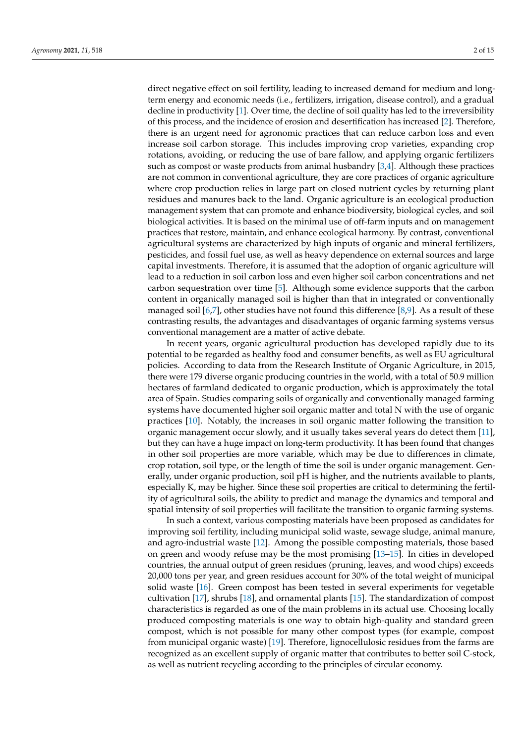direct negative effect on soil fertility, leading to increased demand for medium and longterm energy and economic needs (i.e., fertilizers, irrigation, disease control), and a gradual decline in productivity [\[1\]](#page-12-0). Over time, the decline of soil quality has led to the irreversibility of this process, and the incidence of erosion and desertification has increased [\[2\]](#page-12-1). Therefore, there is an urgent need for agronomic practices that can reduce carbon loss and even increase soil carbon storage. This includes improving crop varieties, expanding crop rotations, avoiding, or reducing the use of bare fallow, and applying organic fertilizers such as compost or waste products from animal husbandry [\[3](#page-12-2)[,4\]](#page-12-3). Although these practices are not common in conventional agriculture, they are core practices of organic agriculture where crop production relies in large part on closed nutrient cycles by returning plant residues and manures back to the land. Organic agriculture is an ecological production management system that can promote and enhance biodiversity, biological cycles, and soil biological activities. It is based on the minimal use of off-farm inputs and on management practices that restore, maintain, and enhance ecological harmony. By contrast, conventional agricultural systems are characterized by high inputs of organic and mineral fertilizers, pesticides, and fossil fuel use, as well as heavy dependence on external sources and large capital investments. Therefore, it is assumed that the adoption of organic agriculture will lead to a reduction in soil carbon loss and even higher soil carbon concentrations and net carbon sequestration over time [\[5\]](#page-12-4). Although some evidence supports that the carbon content in organically managed soil is higher than that in integrated or conventionally managed soil  $[6,7]$  $[6,7]$ , other studies have not found this difference  $[8,9]$  $[8,9]$ . As a result of these contrasting results, the advantages and disadvantages of organic farming systems versus conventional management are a matter of active debate.

In recent years, organic agricultural production has developed rapidly due to its potential to be regarded as healthy food and consumer benefits, as well as EU agricultural policies. According to data from the Research Institute of Organic Agriculture, in 2015, there were 179 diverse organic producing countries in the world, with a total of 50.9 million hectares of farmland dedicated to organic production, which is approximately the total area of Spain. Studies comparing soils of organically and conventionally managed farming systems have documented higher soil organic matter and total N with the use of organic practices [\[10\]](#page-12-9). Notably, the increases in soil organic matter following the transition to organic management occur slowly, and it usually takes several years do detect them [\[11\]](#page-12-10), but they can have a huge impact on long-term productivity. It has been found that changes in other soil properties are more variable, which may be due to differences in climate, crop rotation, soil type, or the length of time the soil is under organic management. Generally, under organic production, soil pH is higher, and the nutrients available to plants, especially K, may be higher. Since these soil properties are critical to determining the fertility of agricultural soils, the ability to predict and manage the dynamics and temporal and spatial intensity of soil properties will facilitate the transition to organic farming systems.

In such a context, various composting materials have been proposed as candidates for improving soil fertility, including municipal solid waste, sewage sludge, animal manure, and agro-industrial waste [\[12\]](#page-12-11). Among the possible composting materials, those based on green and woody refuse may be the most promising [\[13](#page-12-12)[–15\]](#page-13-0). In cities in developed countries, the annual output of green residues (pruning, leaves, and wood chips) exceeds 20,000 tons per year, and green residues account for 30% of the total weight of municipal solid waste [\[16\]](#page-13-1). Green compost has been tested in several experiments for vegetable cultivation [\[17\]](#page-13-2), shrubs [\[18\]](#page-13-3), and ornamental plants [\[15\]](#page-13-0). The standardization of compost characteristics is regarded as one of the main problems in its actual use. Choosing locally produced composting materials is one way to obtain high-quality and standard green compost, which is not possible for many other compost types (for example, compost from municipal organic waste) [\[19\]](#page-13-4). Therefore, lignocellulosic residues from the farms are recognized as an excellent supply of organic matter that contributes to better soil C-stock, as well as nutrient recycling according to the principles of circular economy.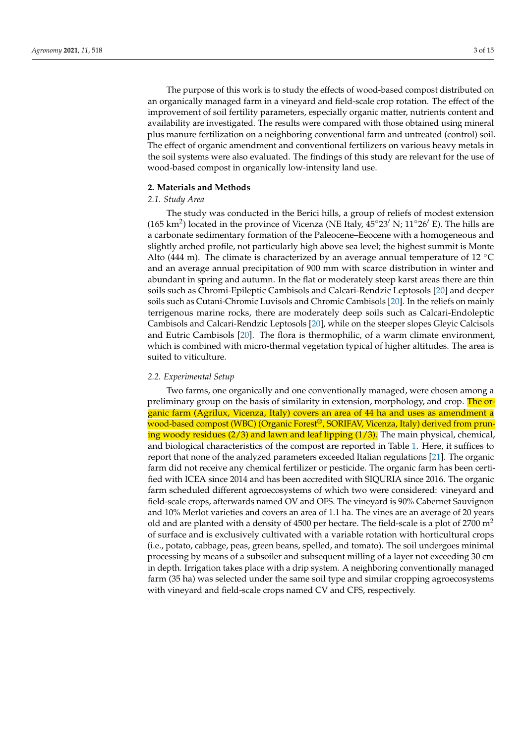The purpose of this work is to study the effects of wood-based compost distributed on an organically managed farm in a vineyard and field-scale crop rotation. The effect of the improvement of soil fertility parameters, especially organic matter, nutrients content and availability are investigated. The results were compared with those obtained using mineral plus manure fertilization on a neighboring conventional farm and untreated (control) soil. The effect of organic amendment and conventional fertilizers on various heavy metals in the soil systems were also evaluated. The findings of this study are relevant for the use of wood-based compost in organically low-intensity land use.

## **2. Materials and Methods**

## *2.1. Study Area*

The study was conducted in the Berici hills, a group of reliefs of modest extension (165 km<sup>2</sup>) located in the province of Vicenza (NE Italy,  $45^{\circ}23'$  N;  $11^{\circ}26'$  E). The hills are a carbonate sedimentary formation of the Paleocene–Eeocene with a homogeneous and slightly arched profile, not particularly high above sea level; the highest summit is Monte Alto (444 m). The climate is characterized by an average annual temperature of 12  $^{\circ}$ C and an average annual precipitation of 900 mm with scarce distribution in winter and abundant in spring and autumn. In the flat or moderately steep karst areas there are thin soils such as Chromi-Epileptic Cambisols and Calcari-Rendzic Leptosols [\[20\]](#page-13-5) and deeper soils such as Cutani-Chromic Luvisols and Chromic Cambisols [\[20\]](#page-13-5). In the reliefs on mainly terrigenous marine rocks, there are moderately deep soils such as Calcari-Endoleptic Cambisols and Calcari-Rendzic Leptosols [\[20\]](#page-13-5), while on the steeper slopes Gleyic Calcisols and Eutric Cambisols [\[20\]](#page-13-5). The flora is thermophilic, of a warm climate environment, which is combined with micro-thermal vegetation typical of higher altitudes. The area is suited to viticulture.

### *2.2. Experimental Setup*

Two farms, one organically and one conventionally managed, were chosen among a preliminary group on the basis of similarity in extension, morphology, and crop. The organic farm (Agrilux, Vicenza, Italy) covers an area of 44 ha and uses as amendment a wood-based compost (WBC) (Organic Forest®, SORIFAV, Vicenza, Italy) derived from pruning woody residues (2/3) and lawn and leaf lipping (1/3). The main physical, chemical, and biological characteristics of the compost are reported in Table [1.](#page-3-0) Here, it suffices to report that none of the analyzed parameters exceeded Italian regulations [\[21\]](#page-13-6). The organic farm did not receive any chemical fertilizer or pesticide. The organic farm has been certified with ICEA since 2014 and has been accredited with SIQURIA since 2016. The organic farm scheduled different agroecosystems of which two were considered: vineyard and field-scale crops, afterwards named OV and OFS. The vineyard is 90% Cabernet Sauvignon and 10% Merlot varieties and covers an area of 1.1 ha. The vines are an average of 20 years old and are planted with a density of 4500 per hectare. The field-scale is a plot of 2700  $m<sup>2</sup>$ of surface and is exclusively cultivated with a variable rotation with horticultural crops (i.e., potato, cabbage, peas, green beans, spelled, and tomato). The soil undergoes minimal processing by means of a subsoiler and subsequent milling of a layer not exceeding 30 cm in depth. Irrigation takes place with a drip system. A neighboring conventionally managed farm (35 ha) was selected under the same soil type and similar cropping agroecosystems with vineyard and field-scale crops named CV and CFS, respectively.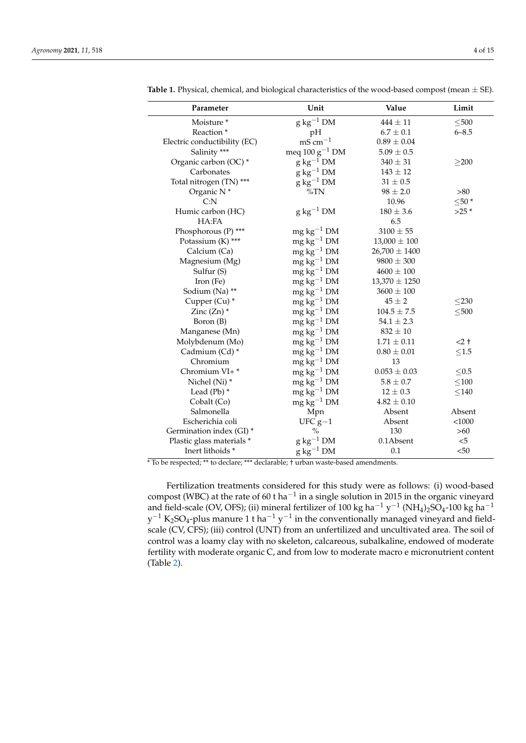L,

| Parameter                    | Unit                               | Value             | Limit       |
|------------------------------|------------------------------------|-------------------|-------------|
| Moisture <sup>*</sup>        | $g kg^{-1} DM$                     | $444 \pm 11$      | $\leq 500$  |
| Reaction <sup>*</sup>        | pH                                 | $6.7 \pm 0.1$     | $6 - 8.5$   |
| Electric conductibility (EC) | $mS$ cm <sup><math>-1</math></sup> | $0.89 \pm 0.04$   |             |
| Salinity ***                 | meq $100 g^{-1}$ DM                | $5.09 \pm 0.5$    |             |
| Organic carbon (OC) *        | $g kg^{-1} DM$                     | $340 \pm 31$      | $\geq$ 200  |
| Carbonates                   | $g\ kg^{-1}$ DM                    | $143 \pm 12$      |             |
| Total nitrogen (TN) ***      | $g kg^{-1} DM$                     | $31 \pm 0.5$      |             |
| Organic N <sup>*</sup>       | $\%TN$                             | $98 \pm 2.0$      | >80         |
| C: N                         |                                    | 10.96             | $\leq 50$ * |
| Humic carbon (HC)            | $g\ kg^{-1}$ DM                    | $180 \pm 3.6$     | $>25$ *     |
| HA:FA                        |                                    | 6.5               |             |
| Phosphorous (P) ***          | $mg \, kg^{-1}$ DM                 | $3100 \pm 55$     |             |
| Potassium (K) ***            | $mg \, kg^{-1}$ DM                 | $13,000 \pm 100$  |             |
| Calcium (Ca)                 | $mg \, kg^{-1}$ DM                 | $26,700 \pm 1400$ |             |
| Magnesium (Mg)               | $mg \, kg^{-1}$ DM                 | $9800 \pm 300$    |             |
| Sulfur (S)                   | $mg \text{ kg}^{-1}$ DM            | $4600 \pm 100$    |             |
| Iron (Fe)                    | $mg \, kg^{-1}$ DM                 | $13,370 \pm 1250$ |             |
| Sodium (Na) **               | $\rm mg\,kg^{-1}\,DM$              | $3600 \pm 100$    |             |
| Cupper (Cu) *                | $mg \, kg^{-1}$ DM                 | $45\pm2$          | $\leq$ 230  |
| Zinc $(Zn)$ *                | $mg \, kg^{-1}$ DM                 | $104.5\pm7.5$     | $\leq 500$  |
| Boron (B)                    | $mg \, kg^{-1}$ DM                 | $54.1 \pm 2.3$    |             |
| Manganese (Mn)               | $mg \text{ kg}^{-1} \text{DM}$     | $832 \pm 10$      |             |
| Molybdenum (Mo)              | $mg \, kg^{-1}$ DM                 | $1.71 \pm 0.11$   | $<$ 2 +     |
| Cadmium (Cd) *               | $mg \, kg^{-1}$ DM                 | $0.80\pm0.01$     | $\leq1.5$   |
| Chromium                     | $\rm mg\,kg^{-1}\,DM$              | 13                |             |
| Chromium VI+*                | $mg \, kg^{-1}$ DM                 | $0.053 \pm 0.03$  | $\leq 0.5$  |
| Nichel (Ni) *                | $mg \, kg^{-1}$ DM                 | $5.8 \pm 0.7$     | $\leq 100$  |
| Lead $(Pb)$ *                | $mg\,kg^{-1}$ DM                   | $12 \pm 0.3$      | < 140       |
| Cobalt (Co)                  | $mg \, kg^{-1}$ DM                 | $4.82 \pm 0.10$   |             |
| Salmonella                   | Mpn                                | Absent            | Absent      |
| Escherichia coli             | $UFC g-1$                          | Absent            | $<$ 1000    |
| Germination index (GI)*      | $\%$                               | 130               | >60         |
| Plastic glass materials *    | $g\ kg^{-1}$ DM                    | 0.1Absent         | $<$ 5       |
| Inert lithoids *             | $g\,kg^{-1}$ DM                    | 0.1               | < 50        |

<span id="page-3-0"></span>**Table 1.** Physical, chemical, and biological characteristics of the wood-based compost (mean  $\pm$  SE).

\* To be respected; \*\* to declare; \*\*\* declarable; † urban waste-based amendments.

Fertilization treatments considered for this study were as follows: (i) wood-based compost (WBC) at the rate of 60 t ha<sup>-1</sup> in a single solution in 2015 in the organic vineyard and field-scale (OV, OFS); (ii) mineral fertilizer of 100 kg ha<sup>-1</sup> y<sup>-1</sup> (NH<sub>4</sub>)<sub>2</sub>SO<sub>4</sub>-100 kg ha<sup>-1</sup>  $y^{-1}$  K<sub>2</sub>SO<sub>4</sub>-plus manure 1 t ha<sup>-1</sup> y<sup>-1</sup> in the conventionally managed vineyard and fieldscale (CV, CFS); (iii) control (UNT) from an unfertilized and uncultivated area. The soil of control was a loamy clay with no skeleton, calcareous, subalkaline, endowed of moderate fertility with moderate organic C, and from low to moderate macro e micronutrient content (Table [2\)](#page-4-0).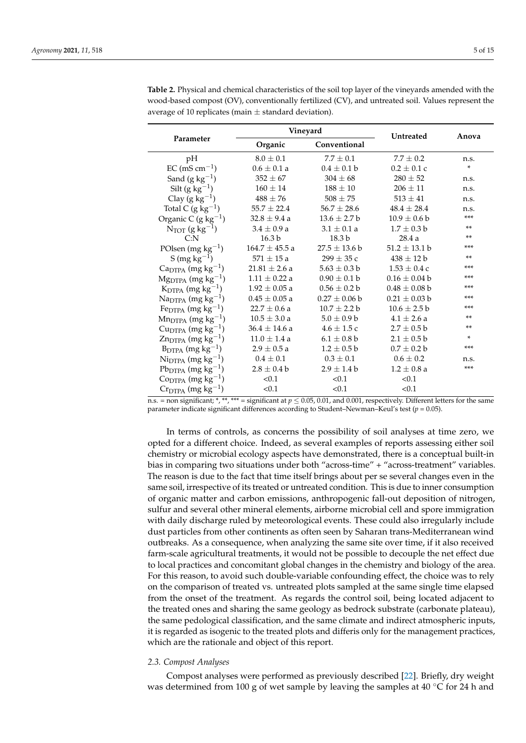|                                                  | Vineyard                |                   | Untreated         | Anova |
|--------------------------------------------------|-------------------------|-------------------|-------------------|-------|
| Parameter                                        | Organic<br>Conventional |                   |                   |       |
| pH                                               | $8.0 \pm 0.1$           | $7.7 \pm 0.1$     | $7.7 \pm 0.2$     | n.s.  |
| $EC$ (mS cm <sup>-1</sup> )                      | $0.6 \pm 0.1 a$         | $0.4 \pm 0.1 b$   | $0.2 \pm 0.1$ c   | *     |
| Sand $(g \ kg^{-1})$                             | $352 \pm 67$            | $304 \pm 68$      | $280 \pm 52$      | n.s.  |
| Silt $(g \text{ kg}^{-1})$                       | $160 \pm 14$            | $188 \pm 10$      | $206 \pm 11$      | n.s.  |
| Clay (g $kg^{-1}$ )                              | $488 \pm 76$            | $508 \pm 75$      | $513 \pm 41$      | n.s.  |
| Total C $(g \text{ kg}^{-1})$                    | $55.7 \pm 22.4$         | $56.7 \pm 28.6$   | $48.4 \pm 28.4$   | n.s.  |
| Organic C (g $kg^{-1}$ )                         | $32.8 \pm 9.4$ a        | $13.6 \pm 2.7 b$  | $10.9 \pm 0.6 b$  | $***$ |
| $N_{TOT}$ (g kg <sup>-1</sup> )                  | $3.4 \pm 0.9 a$         | $3.1 \pm 0.1 a$   | $1.7 \pm 0.3 b$   | $***$ |
| C: N                                             | 16.3 <sub>b</sub>       | 18.3 <sub>b</sub> | 28.4a             | $***$ |
| POlsen (mg $kg^{-1}$ )                           | $164.7 \pm 45.5$ a      | $27.5 \pm 13.6 b$ | $51.2 \pm 13.1 b$ | ***   |
| S (mg $kg^{-1}$ )                                | $571 \pm 15$ a          | $299 \pm 35$ c    | $438 \pm 12$ b    | $***$ |
| $CapTPA$ (mg kg <sup>-1</sup> )                  | $21.81 \pm 2.6 a$       | $5.63 \pm 0.3$ b  | $1.53 \pm 0.4$ c  | ***   |
| $Mg_{DTPA}$ (mg kg <sup>-1</sup> )               | $1.11 \pm 0.22$ a       | $0.90 \pm 0.1$ b  | $0.16 \pm 0.04$ b | ***   |
| $K_{\text{DTPA}}$ (mg kg <sup>-1</sup> )         | $1.92 \pm 0.05$ a       | $0.56 \pm 0.2 b$  | $0.48 \pm 0.08$ b | $***$ |
| $\text{Na}_{\text{DTPA}}$ (mg kg <sup>-1</sup> ) | $0.45 \pm 0.05$ a       | $0.27 \pm 0.06$ b | $0.21 \pm 0.03$ b | ***   |
| Fe <sub>DTPA</sub> (mg kg <sup>-1</sup> )        | $22.7 \pm 0.6$ a        | $10.7 \pm 2.2 b$  | $10.6 \pm 2.5 b$  | ***   |
| $Mn_{DTPA}$ (mg kg <sup>-1</sup> )               | $10.5 \pm 3.0 a$        | $5.0 \pm 0.9 b$   | $4.1 \pm 2.6 a$   | $***$ |
| $CuDTPA$ (mg kg <sup>-1</sup> )                  | $36.4 \pm 14.6$ a       | $4.6 \pm 1.5$ c   | $2.7 \pm 0.5 b$   | **    |
| $\text{Zn}_{\text{DTPA}}$ (mg kg <sup>-1</sup> ) | $11.0 \pm 1.4$ a        | $6.1 \pm 0.8 b$   | $2.1 \pm 0.5 b$   | *     |
| $B_{\text{DTPA}}$ (mg kg <sup>-1</sup> )         | $2.9 \pm 0.5 a$         | $1.2 \pm 0.5 b$   | $0.7 \pm 0.2 b$   | ***   |

 $0.4 \pm 0.1$   $0.3 \pm 0.1$   $0.6 \pm 0.2$  n.s.

 $2.8 \pm 0.4$  b  $2.9 \pm 1.4$  b  $1.2 \pm 0.8$  a \*\*\*

<span id="page-4-0"></span>**Table 2.** Physical and chemical characteristics of the soil top layer of the vineyards amended with the wood-based compost (OV), conventionally fertilized (CV), and untreated soil. Values represent the average of 10 replicates (main  $\pm$  standard deviation).

 $(0.1$   $< 0.1$   $< 0.1$   $< 0.1$ n.s. = non significant; \*, \*\*, \*\*\* = significant at *p* ≤ 0.05, 0.01, and 0.001, respectively. Different letters for the same parameter indicate significant differences according to Student–Newman–Keul's test (*p* = 0.05).

 $(0.1$   $< 0.1$   $< 0.1$   $< 0.1$ 

In terms of controls, as concerns the possibility of soil analyses at time zero, we opted for a different choice. Indeed, as several examples of reports assessing either soil chemistry or microbial ecology aspects have demonstrated, there is a conceptual built-in bias in comparing two situations under both "across-time" + "across-treatment" variables. The reason is due to the fact that time itself brings about per se several changes even in the same soil, irrespective of its treated or untreated condition. This is due to inner consumption of organic matter and carbon emissions, anthropogenic fall-out deposition of nitrogen, sulfur and several other mineral elements, airborne microbial cell and spore immigration with daily discharge ruled by meteorological events. These could also irregularly include dust particles from other continents as often seen by Saharan trans-Mediterranean wind outbreaks. As a consequence, when analyzing the same site over time, if it also received farm-scale agricultural treatments, it would not be possible to decouple the net effect due to local practices and concomitant global changes in the chemistry and biology of the area. For this reason, to avoid such double-variable confounding effect, the choice was to rely on the comparison of treated vs. untreated plots sampled at the same single time elapsed from the onset of the treatment. As regards the control soil, being located adjacent to the treated ones and sharing the same geology as bedrock substrate (carbonate plateau), the same pedological classification, and the same climate and indirect atmospheric inputs, it is regarded as isogenic to the treated plots and differis only for the management practices, which are the rationale and object of this report.

#### *2.3. Compost Analyses*

 $Ni_{\text{DTPA}}$  (mg kg<sup>-1</sup>)

Pb<sub>DTPA</sub> (mg kg<sup>-1</sup>)

 $\text{Co}_{\text{DTPA}}$  (mg kg<sup>-1</sup>)

 $Cr<sub>DTPA</sub>$  (mg kg<sup>-1</sup>)

Compost analyses were performed as previously described [\[22\]](#page-13-7). Briefly, dry weight was determined from 100 g of wet sample by leaving the samples at 40  $\degree$ C for 24 h and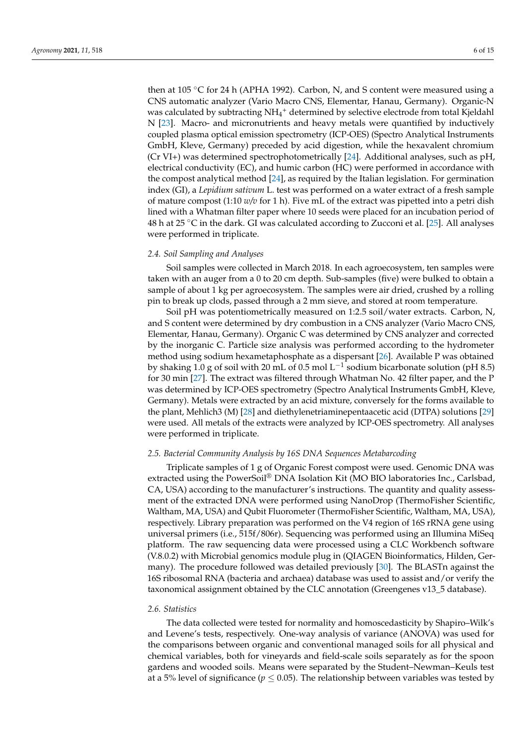then at 105 °C for 24 h (APHA 1992). Carbon, N, and S content were measured using a CNS automatic analyzer (Vario Macro CNS, Elementar, Hanau, Germany). Organic-N was calculated by subtracting NH<sub>4</sub><sup>+</sup> determined by selective electrode from total Kjeldahl N [\[23\]](#page-13-8). Macro- and micronutrients and heavy metals were quantified by inductively coupled plasma optical emission spectrometry (ICP-OES) (Spectro Analytical Instruments GmbH, Kleve, Germany) preceded by acid digestion, while the hexavalent chromium (Cr VI+) was determined spectrophotometrically [\[24\]](#page-13-9). Additional analyses, such as pH, electrical conductivity (EC), and humic carbon (HC) were performed in accordance with the compost analytical method [\[24\]](#page-13-9), as required by the Italian legislation. For germination index (GI), a *Lepidium sativum* L. test was performed on a water extract of a fresh sample of mature compost (1:10 *w/v* for 1 h). Five mL of the extract was pipetted into a petri dish lined with a Whatman filter paper where 10 seeds were placed for an incubation period of 48 h at 25 °C in the dark. GI was calculated according to Zucconi et al. [\[25\]](#page-13-10). All analyses were performed in triplicate.

## *2.4. Soil Sampling and Analyses*

Soil samples were collected in March 2018. In each agroecosystem, ten samples were taken with an auger from a 0 to 20 cm depth. Sub-samples (five) were bulked to obtain a sample of about 1 kg per agroecosystem. The samples were air dried, crushed by a rolling pin to break up clods, passed through a 2 mm sieve, and stored at room temperature.

Soil pH was potentiometrically measured on 1:2.5 soil/water extracts. Carbon, N, and S content were determined by dry combustion in a CNS analyzer (Vario Macro CNS, Elementar, Hanau, Germany). Organic C was determined by CNS analyzer and corrected by the inorganic C. Particle size analysis was performed according to the hydrometer method using sodium hexametaphosphate as a dispersant [\[26\]](#page-13-11). Available P was obtained by shaking 1.0 g of soil with 20 mL of 0.5 mol L $^{-1}$  sodium bicarbonate solution (pH 8.5) for 30 min [\[27\]](#page-13-12). The extract was filtered through Whatman No. 42 filter paper, and the P was determined by ICP-OES spectrometry (Spectro Analytical Instruments GmbH, Kleve, Germany). Metals were extracted by an acid mixture, conversely for the forms available to the plant, Mehlich3 (M) [\[28\]](#page-13-13) and diethylenetriaminepentaacetic acid (DTPA) solutions [\[29\]](#page-13-14) were used. All metals of the extracts were analyzed by ICP-OES spectrometry. All analyses were performed in triplicate.

## *2.5. Bacterial Community Analysis by 16S DNA Sequences Metabarcoding*

Triplicate samples of 1 g of Organic Forest compost were used. Genomic DNA was extracted using the PowerSoil® DNA Isolation Kit (MO BIO laboratories Inc., Carlsbad, CA, USA) according to the manufacturer's instructions. The quantity and quality assessment of the extracted DNA were performed using NanoDrop (ThermoFisher Scientific, Waltham, MA, USA) and Qubit Fluorometer (ThermoFisher Scientific, Waltham, MA, USA), respectively. Library preparation was performed on the V4 region of 16S rRNA gene using universal primers (i.e., 515f/806r). Sequencing was performed using an Illumina MiSeq platform. The raw sequencing data were processed using a CLC Workbench software (V.8.0.2) with Microbial genomics module plug in (QIAGEN Bioinformatics, Hilden, Germany). The procedure followed was detailed previously [\[30\]](#page-13-15). The BLASTn against the 16S ribosomal RNA (bacteria and archaea) database was used to assist and/or verify the taxonomical assignment obtained by the CLC annotation (Greengenes v13\_5 database).

## *2.6. Statistics*

The data collected were tested for normality and homoscedasticity by Shapiro–Wilk's and Levene's tests, respectively. One-way analysis of variance (ANOVA) was used for the comparisons between organic and conventional managed soils for all physical and chemical variables, both for vineyards and field-scale soils separately as for the spoon gardens and wooded soils. Means were separated by the Student–Newman–Keuls test at a 5% level of significance ( $p \leq 0.05$ ). The relationship between variables was tested by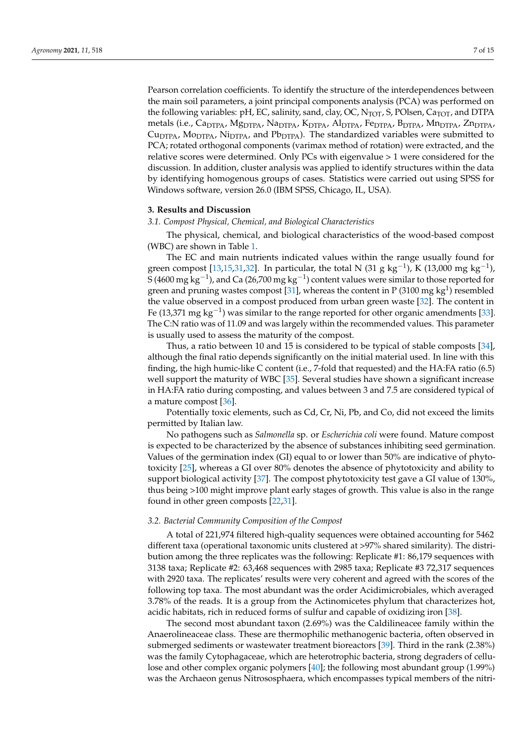Pearson correlation coefficients. To identify the structure of the interdependences between the main soil parameters, a joint principal components analysis (PCA) was performed on the following variables: pH, EC, salinity, sand, clay, OC,  $N_{\text{TOT}}$ , S, POlsen,  $Ca_{\text{TOT}}$ , and DTPA metals (i.e., Ca<sub>DTPA</sub>, Mg<sub>DTPA</sub>, Na<sub>DTPA</sub>, K<sub>DTPA</sub>, Al<sub>DTPA</sub>, Fe<sub>DTPA</sub>, B<sub>DTPA</sub>, Mn<sub>DTPA</sub>, Zn<sub>DTPA</sub>,  $C_{\text{UDTPA}}$ ,  $M_{\text{ODTPA}}$ ,  $N_{\text{IDTPA}}$ , and  $P_{\text{DTPA}}$ ). The standardized variables were submitted to PCA; rotated orthogonal components (varimax method of rotation) were extracted, and the relative scores were determined. Only PCs with eigenvalue > 1 were considered for the discussion. In addition, cluster analysis was applied to identify structures within the data by identifying homogenous groups of cases. Statistics were carried out using SPSS for Windows software, version 26.0 (IBM SPSS, Chicago, IL, USA).

#### **3. Results and Discussion**

#### *3.1. Compost Physical, Chemical, and Biological Characteristics*

The physical, chemical, and biological characteristics of the wood-based compost (WBC) are shown in Table [1.](#page-3-0)

The EC and main nutrients indicated values within the range usually found for green compost [\[13](#page-12-12)[,15](#page-13-0)[,31](#page-13-16)[,32\]](#page-13-17). In particular, the total N (31 g kg<sup>-1</sup>), K (13,000 mg kg<sup>-1</sup>), S (4600 mg  $\text{kg}^{-1}$ ), and Ca (26,700 mg  $\text{kg}^{-1}$ ) content values were similar to those reported for green and pruning wastes compost [\[31\]](#page-13-16), whereas the content in P (3100 mg  $kg<sup>1</sup>$ ) resembled the value observed in a compost produced from urban green waste [\[32\]](#page-13-17). The content in Fe (13,371 mg  $kg^{-1}$ ) was similar to the range reported for other organic amendments [\[33\]](#page-13-18). The C:N ratio was of 11.09 and was largely within the recommended values. This parameter is usually used to assess the maturity of the compost.

Thus, a ratio between 10 and 15 is considered to be typical of stable composts [\[34\]](#page-13-19), although the final ratio depends significantly on the initial material used. In line with this finding, the high humic-like C content (i.e., 7-fold that requested) and the HA:FA ratio (6.5) well support the maturity of WBC [\[35\]](#page-13-20). Several studies have shown a significant increase in HA:FA ratio during composting, and values between 3 and 7.5 are considered typical of a mature compost [\[36\]](#page-13-21).

Potentially toxic elements, such as Cd, Cr, Ni, Pb, and Co, did not exceed the limits permitted by Italian law.

No pathogens such as *Salmonella* sp. or *Escherichia coli* were found. Mature compost is expected to be characterized by the absence of substances inhibiting seed germination. Values of the germination index (GI) equal to or lower than 50% are indicative of phytotoxicity [\[25\]](#page-13-10), whereas a GI over 80% denotes the absence of phytotoxicity and ability to support biological activity [\[37\]](#page-13-22). The compost phytotoxicity test gave a GI value of 130%, thus being >100 might improve plant early stages of growth. This value is also in the range found in other green composts [\[22](#page-13-7)[,31\]](#page-13-16).

#### *3.2. Bacterial Community Composition of the Compost*

A total of 221,974 filtered high-quality sequences were obtained accounting for 5462 different taxa (operational taxonomic units clustered at >97% shared similarity). The distribution among the three replicates was the following: Replicate #1: 86,179 sequences with 3138 taxa; Replicate #2: 63,468 sequences with 2985 taxa; Replicate #3 72,317 sequences with 2920 taxa. The replicates' results were very coherent and agreed with the scores of the following top taxa. The most abundant was the order Acidimicrobiales, which averaged 3.78% of the reads. It is a group from the Actinomicetes phylum that characterizes hot, acidic habitats, rich in reduced forms of sulfur and capable of oxidizing iron [\[38\]](#page-13-23).

The second most abundant taxon (2.69%) was the Caldilineacee family within the Anaerolineaceae class. These are thermophilic methanogenic bacteria, often observed in submerged sediments or wastewater treatment bioreactors [\[39\]](#page-13-24). Third in the rank (2.38%) was the family Cytophagaceae, which are heterotrophic bacteria, strong degraders of cellulose and other complex organic polymers [\[40\]](#page-13-25); the following most abundant group (1.99%) was the Archaeon genus Nitrososphaera, which encompasses typical members of the nitri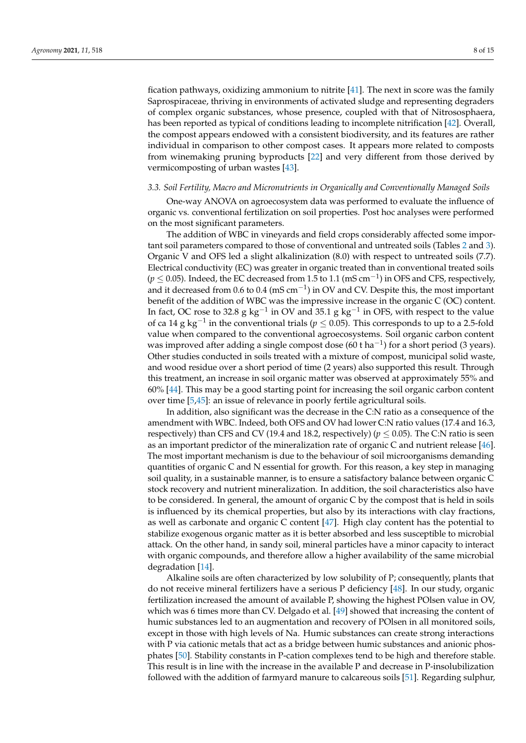fication pathways, oxidizing ammonium to nitrite [\[41\]](#page-13-26). The next in score was the family Saprospiraceae, thriving in environments of activated sludge and representing degraders of complex organic substances, whose presence, coupled with that of Nitrososphaera, has been reported as typical of conditions leading to incomplete nitrification [\[42\]](#page-14-0). Overall, the compost appears endowed with a consistent biodiversity, and its features are rather individual in comparison to other compost cases. It appears more related to composts from winemaking pruning byproducts [\[22\]](#page-13-7) and very different from those derived by vermicomposting of urban wastes [\[43\]](#page-14-1).

## *3.3. Soil Fertility, Macro and Micronutrients in Organically and Conventionally Managed Soils*

One-way ANOVA on agroecosystem data was performed to evaluate the influence of organic vs. conventional fertilization on soil properties. Post hoc analyses were performed on the most significant parameters.

The addition of WBC in vineyards and field crops considerably affected some important soil parameters compared to those of conventional and untreated soils (Tables [2](#page-4-0) and [3\)](#page-8-0). Organic V and OFS led a slight alkalinization (8.0) with respect to untreated soils (7.7). Electrical conductivity (EC) was greater in organic treated than in conventional treated soils ( $p \le 0.05$ ). Indeed, the EC decreased from 1.5 to 1.1 (mS cm<sup>-1</sup>) in OFS and CFS, respectively, and it decreased from 0.6 to 0.4 (mS cm<sup>-1</sup>) in OV and CV. Despite this, the most important benefit of the addition of WBC was the impressive increase in the organic C (OC) content. In fact, OC rose to 32.8 g kg<sup>-1</sup> in OV and 35.1 g kg<sup>-1</sup> in OFS, with respect to the value of ca 14 g kg−<sup>1</sup> in the conventional trials (*p* ≤ 0.05). This corresponds to up to a 2.5-fold value when compared to the conventional agroecosystems. Soil organic carbon content was improved after adding a single compost dose (60 t ha<sup>-1</sup>) for a short period (3 years). Other studies conducted in soils treated with a mixture of compost, municipal solid waste, and wood residue over a short period of time (2 years) also supported this result. Through this treatment, an increase in soil organic matter was observed at approximately 55% and 60% [\[44\]](#page-14-2). This may be a good starting point for increasing the soil organic carbon content over time [\[5,](#page-12-4)[45\]](#page-14-3): an issue of relevance in poorly fertile agricultural soils.

In addition, also significant was the decrease in the C:N ratio as a consequence of the amendment with WBC. Indeed, both OFS and OV had lower C:N ratio values (17.4 and 16.3, respectively) than CFS and CV (19.4 and 18.2, respectively) ( $p \le 0.05$ ). The C:N ratio is seen as an important predictor of the mineralization rate of organic C and nutrient release [\[46\]](#page-14-4). The most important mechanism is due to the behaviour of soil microorganisms demanding quantities of organic C and N essential for growth. For this reason, a key step in managing soil quality, in a sustainable manner, is to ensure a satisfactory balance between organic C stock recovery and nutrient mineralization. In addition, the soil characteristics also have to be considered. In general, the amount of organic C by the compost that is held in soils is influenced by its chemical properties, but also by its interactions with clay fractions, as well as carbonate and organic C content [\[47\]](#page-14-5). High clay content has the potential to stabilize exogenous organic matter as it is better absorbed and less susceptible to microbial attack. On the other hand, in sandy soil, mineral particles have a minor capacity to interact with organic compounds, and therefore allow a higher availability of the same microbial degradation [\[14\]](#page-13-27).

Alkaline soils are often characterized by low solubility of P; consequently, plants that do not receive mineral fertilizers have a serious P deficiency [\[48\]](#page-14-6). In our study, organic fertilization increased the amount of available P, showing the highest POlsen value in OV, which was 6 times more than CV. Delgado et al. [\[49\]](#page-14-7) showed that increasing the content of humic substances led to an augmentation and recovery of POlsen in all monitored soils, except in those with high levels of Na. Humic substances can create strong interactions with P via cationic metals that act as a bridge between humic substances and anionic phosphates [\[50\]](#page-14-8). Stability constants in P-cation complexes tend to be high and therefore stable. This result is in line with the increase in the available P and decrease in P-insolubilization followed with the addition of farmyard manure to calcareous soils [\[51\]](#page-14-9). Regarding sulphur,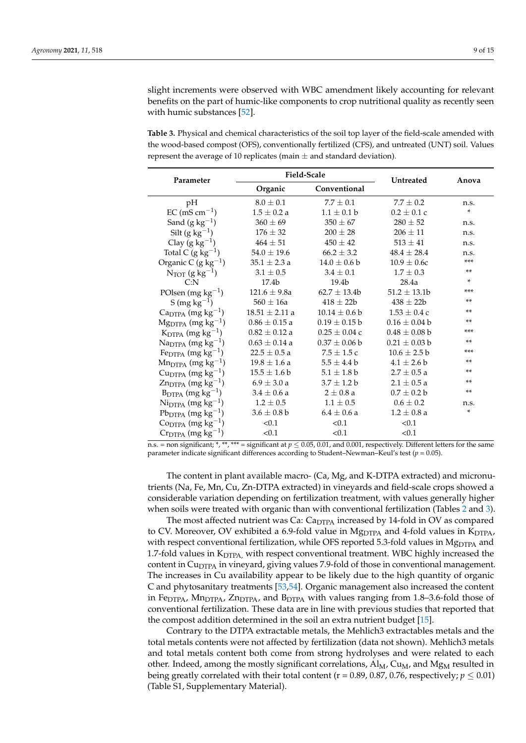slight increments were observed with WBC amendment likely accounting for relevant benefits on the part of humic-like components to crop nutritional quality as recently seen with humic substances [\[52\]](#page-14-10).

<span id="page-8-0"></span>**Table 3.** Physical and chemical characteristics of the soil top layer of the field-scale amended with the wood-based compost (OFS), conventionally fertilized (CFS), and untreated (UNT) soil. Values represent the average of 10 replicates (main  $\pm$  and standard deviation).

| Parameter                                        | <b>Field-Scale</b> |                   | <b>Untreated</b>  | Anova |  |
|--------------------------------------------------|--------------------|-------------------|-------------------|-------|--|
|                                                  | Organic            | Conventional      |                   |       |  |
| pН                                               | $8.0 \pm 0.1$      | $7.7 \pm 0.1$     | $7.7 \pm 0.2$     | n.s.  |  |
| $EC$ (mS cm <sup>-1</sup> )                      | $1.5 \pm 0.2 a$    | $1.1 + 0.1 b$     | $0.2 \pm 0.1$ c   | *     |  |
| Sand $(g \ kg^{-1})$                             | $360 \pm 69$       | $350 \pm 67$      | $280 \pm 52$      | n.s.  |  |
| Silt $(g kg^{-1})$                               | $176 \pm 32$       | $200 \pm 28$      | $206 \pm 11$      | n.s.  |  |
| Clay $(g \ kg^{-1})$                             | $464 \pm 51$       | $450 \pm 42$      | $513 \pm 41$      | n.s.  |  |
| Total C $(g \text{ kg}^{-1})$                    | $54.0 \pm 19.6$    | $66.2 \pm 3.2$    | $48.4 \pm 28.4$   | n.s.  |  |
| Organic C (g $kg^{-1}$ )                         | $35.1 \pm 2.3 a$   | $14.0 \pm 0.6 b$  | $10.9 \pm 0.6c$   | ***   |  |
| $N_{TOT}$ (g kg <sup>-1</sup> )                  | $3.1 \pm 0.5$      | $3.4 \pm 0.1$     | $1.7 \pm 0.3$     | $***$ |  |
| C: N                                             | 17.4 <sub>b</sub>  | 19.4 <sub>b</sub> | 28.4a             | *     |  |
| POlsen (mg $kg^{-1}$ )                           | $121.6 \pm 9.8a$   | $62.7 \pm 13.4b$  | $51.2 \pm 13.1$   | ***   |  |
| S (mg $kg^{-1}$ )                                | $560 \pm 16a$      | $418 \pm 22b$     | $438 \pm 22b$     | **    |  |
| $CaDTPA$ (mg kg <sup>-1</sup> )                  | $18.51 \pm 2.11$ a | $10.14 \pm 0.6 b$ | $1.53 \pm 0.4$ c  | **    |  |
| $Mg_{DTPA}$ (mg kg <sup>-1</sup> )               | $0.86 \pm 0.15$ a  | $0.19 \pm 0.15$ b | $0.16\pm0.04$ b   | $***$ |  |
| $K_{\text{DTPA}}$ (mg kg <sup>-1</sup> )         | $0.82 \pm 0.12$ a  | $0.25 \pm 0.04$ c | $0.48 \pm 0.08$ b | ***   |  |
| $\text{Na}_{\text{DTPA}}$ (mg kg <sup>-1</sup> ) | $0.63 \pm 0.14$ a  | $0.37 \pm 0.06$ b | $0.21 \pm 0.03$ b | $***$ |  |
| $FepTPA$ (mg kg <sup>-1</sup> )                  | $22.5 \pm 0.5 a$   | $7.5 \pm 1.5$ c   | $10.6 \pm 2.5 b$  | ***   |  |
| $Mn_{DTPA}$ (mg kg <sup>-1</sup> )               | $19.8 \pm 1.6$ a   | $5.5 \pm 4.4 b$   | $4.1 \pm 2.6 b$   | $***$ |  |
| $Cu_{DTPA}$ (mg kg <sup>-1</sup> )               | $15.5 \pm 1.6 b$   | $5.1 \pm 1.8 b$   | $2.7 \pm 0.5 a$   | **    |  |
| $Zn_{DTPA}$ (mg kg <sup>-1</sup> )               | $6.9 \pm 3.0 a$    | $3.7 \pm 1.2 b$   | $2.1 \pm 0.5 a$   | $***$ |  |
| $B_{DTPA}$ (mg kg <sup>-1</sup> )                | $3.4 \pm 0.6 a$    | $2 \pm 0.8$ a     | $0.7 \pm 0.2 b$   | $***$ |  |
| $N_{\text{DTPA}}$ (mg kg <sup>-1</sup> )         | $1.2 \pm 0.5$      | $1.1 \pm 0.5$     | $0.6 \pm 0.2$     | n.s.  |  |
| $Pb_{DTPA}$ (mg kg <sup>-1</sup> )               | $3.6 \pm 0.8$ b    | $6.4 \pm 0.6 a$   | $1.2 \pm 0.8$ a   | *     |  |
| $\text{Co}_{\text{DTPA}}$ (mg kg <sup>-1</sup> ) | < 0.1              | < 0.1             | < 0.1             |       |  |
| $CrDTPA$ (mg kg <sup>-1</sup> )                  | < 0.1              | < 0.1             | < 0.1             |       |  |

n.s. = non significant; \*, \*\*, \*\*\* = significant at  $p \le 0.05$ , 0.01, and 0.001, respectively. Different letters for the same parameter indicate significant differences according to Student–Newman–Keul's test (*p* = 0.05).

The content in plant available macro- (Ca, Mg, and K-DTPA extracted) and micronutrients (Na, Fe, Mn, Cu, Zn-DTPA extracted) in vineyards and field-scale crops showed a considerable variation depending on fertilization treatment, with values generally higher when soils were treated with organic than with conventional fertilization (Tables [2](#page-4-0) and [3\)](#page-8-0).

The most affected nutrient was Ca:  $C_{\text{aDTPA}}$  increased by 14-fold in OV as compared to CV. Moreover, OV exhibited a 6.9-fold value in Mg<sub>DTPA</sub> and 4-fold values in  $K_{\text{DTPA}}$ , with respect conventional fertilization, while OFS reported 5.3-fold values in Mg<sub>DTPA</sub> and 1.7-fold values in  $K_{\text{DTPA}}$ , with respect conventional treatment. WBC highly increased the content in  $Cu_{DTPA}$  in vineyard, giving values 7.9-fold of those in conventional management. The increases in Cu availability appear to be likely due to the high quantity of organic C and phytosanitary treatments [\[53,](#page-14-11)[54\]](#page-14-12). Organic management also increased the content in Fe $_{\text{DTPA}}$ , Mn<sub>DTPA</sub>, Zn<sub>DTPA</sub>, and B<sub>DTPA</sub> with values ranging from 1.8–3.6-fold those of conventional fertilization. These data are in line with previous studies that reported that the compost addition determined in the soil an extra nutrient budget [\[15\]](#page-13-0).

Contrary to the DTPA extractable metals, the Mehlich3 extractables metals and the total metals contents were not affected by fertilization (data not shown). Mehlich3 metals and total metals content both come from strong hydrolyses and were related to each other. Indeed, among the mostly significant correlations,  $Al_M$ ,  $Cu_M$ , and  $Mg_M$  resulted in being greatly correlated with their total content ( $r = 0.89$ , 0.87, 0.76, respectively;  $p \le 0.01$ ) (Table S1, Supplementary Material).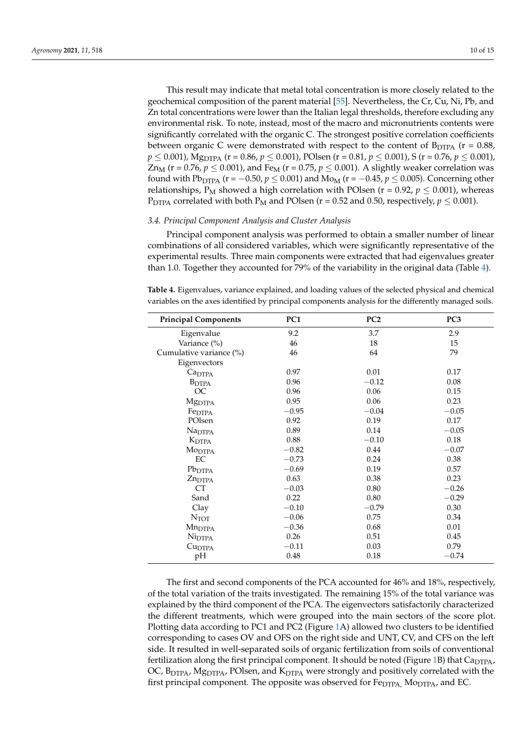This result may indicate that metal total concentration is more closely related to the geochemical composition of the parent material [\[55\]](#page-14-13). Nevertheless, the Cr, Cu, Ni, Pb, and Zn total concentrations were lower than the Italian legal thresholds, therefore excluding any environmental risk. To note, instead, most of the macro and micronutrients contents were significantly correlated with the organic C. The strongest positive correlation coefficients between organic C were demonstrated with respect to the content of  $B_{DTPA}$  (r = 0.88,  $p \le 0.001$ ), Mg<sub>DTPA</sub> (r = 0.86,  $p \le 0.001$ ), POlsen (r = 0.81,  $p \le 0.001$ ), S (r = 0.76,  $p \le 0.001$ ),  $Zn_M$  (r = 0.76,  $p \le 0.001$ ), and Fe<sub>M</sub> (r = 0.75,  $p \le 0.001$ ). A slightly weaker correlation was found with Pb<sub>DTPA</sub> (r =  $-0.50$ ,  $p \le 0.001$ ) and M<sub>OM</sub> (r =  $-0.45$ ,  $p \le 0.005$ ). Concerning other relationships,  $P_M$  showed a high correlation with POlsen ( $r = 0.92$ ,  $p \le 0.001$ ), whereas P<sub>DTPA</sub> correlated with both P<sub>M</sub> and POlsen ( $r = 0.52$  and 0.50, respectively,  $p \le 0.001$ ).

## *3.4. Principal Component Analysis and Cluster Analysis*

Principal component analysis was performed to obtain a smaller number of linear combinations of all considered variables, which were significantly representative of the experimental results. Three main components were extracted that had eigenvalues greater than 1.0. Together they accounted for 79% of the variability in the original data (Table [4\)](#page-9-0).

<span id="page-9-0"></span>**Table 4.** Eigenvalues, variance explained, and loading values of the selected physical and chemical variables on the axes identified by principal components analysis for the differently managed soils.

| <b>Principal Components</b> | PC <sub>1</sub> | PC <sub>2</sub> | PC <sub>3</sub> |
|-----------------------------|-----------------|-----------------|-----------------|
| Eigenvalue                  | 9.2             | 3.7             | 2.9             |
| Variance (%)                | 46              | 18              | 15              |
| Cumulative variance (%)     | 46              | 64              | 79              |
| Eigenvectors                |                 |                 |                 |
| Ca <sub>DTPA</sub>          | 0.97            | 0.01            | 0.17            |
| <b>B</b> <sub>DTPA</sub>    | 0.96            | $-0.12$         | 0.08            |
| OC                          | 0.96            | 0.06            | 0.15            |
| <b>M</b> g <sub>DTPA</sub>  | 0.95            | 0.06            | 0.23            |
| Fe <sub>DTPA</sub>          | $-0.95$         | $-0.04$         | $-0.05$         |
| POlsen                      | 0.92            | 0.19            | 0.17            |
| Na <sub>DTPA</sub>          | 0.89            | 0.14            | $-0.05$         |
| $K_{\text{DTPA}}$           | 0.88            | $-0.10$         | 0.18            |
| MO <sub>DTPA</sub>          | $-0.82$         | 0.44            | $-0.07$         |
| EC                          | $-0.73$         | 0.24            | 0.38            |
| Pb <sub>DTPA</sub>          | $-0.69$         | 0.19            | 0.57            |
| $Zn_{\text{DTPA}}$          | 0.63            | 0.38            | 0.23            |
| <b>CT</b>                   | $-0.03$         | 0.80            | $-0.26$         |
| Sand                        | 0.22            | 0.80            | $-0.29$         |
| Clay                        | $-0.10$         | $-0.79$         | 0.30            |
| $N_{TOT}$                   | $-0.06$         | 0.75            | 0.34            |
| Mn <sub>DTPA</sub>          | $-0.36$         | 0.68            | 0.01            |
| Ni <sub>DTPA</sub>          | 0.26            | 0.51            | 0.45            |
| Cu <sub>DTPA</sub>          | $-0.11$         | 0.03            | 0.79            |
| pH                          | 0.48            | 0.18            | $-0.74$         |

The first and second components of the PCA accounted for 46% and 18%, respectively, of the total variation of the traits investigated. The remaining 15% of the total variance was explained by the third component of the PCA. The eigenvectors satisfactorily characterized the different treatments, which were grouped into the main sectors of the score plot. Plotting data according to PC1 and PC2 (Figure [1A](#page-10-0)) allowed two clusters to be identified corresponding to cases OV and OFS on the right side and UNT, CV, and CFS on the left side. It resulted in well-separated soils of organic fertilization from soils of conventional fertilization along the first principal component. It should be noted (Figure [1B](#page-10-0)) that  $Cap_{TPA}$ , OC, B<sub>DTPA</sub>, Mg<sub>DTPA</sub>, POlsen, and K<sub>DTPA</sub> were strongly and positively correlated with the first principal component. The opposite was observed for  $Fe_{DTPA}$ ,  $Mo_{DTPA}$ , and EC.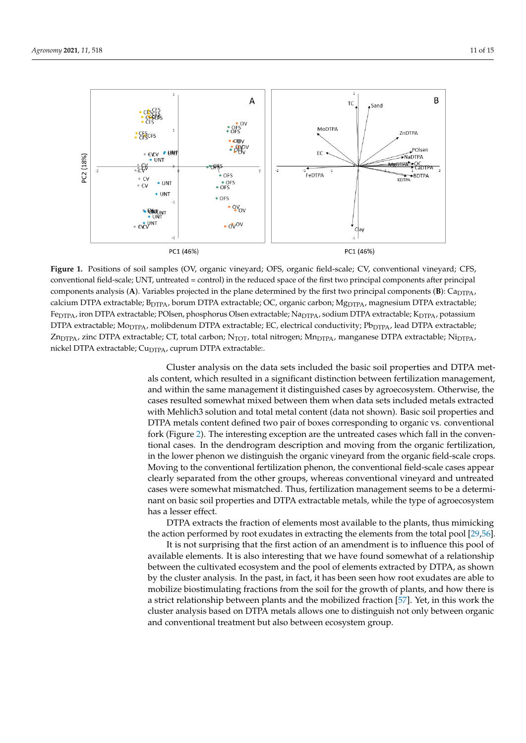<span id="page-10-0"></span>

Figure 1. Positions of soil samples (OV, organic vineyard; OFS, organic field-scale; CV, conventional vineyard; CFS, conventional field-scale; UNT, untreated = control) in the reduced space of the first two principal components after principal components analysis (A). Variables projected in the plane determined by the first two principal components (B): Ca<sub>DTPA</sub>, calcium DTPA extractable; B<sub>DTPA</sub>, borum DTPA extractable; OC, organic carbon; Mg<sub>DTPA</sub>, magnesium DTPA extractable; Fe<sub>DTPA</sub>, iron DTPA extractable; POlsen, phosphorus Olsen extractable; Na<sub>DTPA</sub>, sodium DTPA extractable; K<sub>DTPA</sub>, potassium  $\frac{1}{2}$  DTPA extractable; Mo<sub>DTPA</sub>, molibdenum DTPA extractable; EC, electrical conductivity; Pb<sub>DTPA</sub>, lead DTPA extractable;  $\sum_{\text{DTPA}}$  extractable;  $\sum_{\text{DTPA}}$  and  $\sum_{\text{DTPA}}$ ,  $\sum_{\text{DTPA}}$ ,  $\sum_{\text{DTPA}}$  extractable; Nickel nickel  $\sum_{\text{DTPA}}$ Zn<sub>DTPA</sub>, zinc DTPA extractable; CT, total carbon; N<sub>TOT</sub>, total nitrogen; Mn<sub>DTPA</sub>, manganese DTPA extractable; Ni<sub>DTPA</sub>,  $\ldots$ nickel DTPA extractable;  $Cu<sub>DTPA</sub>$ , cuprum DTPA extractable:.

Cluster analysis on the data sets included the basic soil properties and DTPA metals content, which resulted in a significant distinction between fertilization management, and within the same management it distinguished cases by agroecosystem. Otherwise, the by the cluster analysis. In the past, in fact, it has been seen how root exudates are able to cases resulted somewhat mixed between them when data sets included metals extracted with Mehlich3 solution and total metal content (data not shown). Basic soil properties and DTPA metals content defined two pair of boxes corresponding to organic vs. conventional fork (Figure [2\)](#page-11-0). The interesting exception are the untreated cases which fall in the conventional cases. In the dendrogram description and moving from the organic fertilization, in the lower phenon we distinguish the organic vineyard from the organic field-scale crops. Moving to the conventional fertilization phenon, the conventional field-scale cases appear clearly separated from the other groups, whereas conventional vineyard and untreated cases were somewhat mismatched. Thus, fertilization management seems to be a determinant on basic soil properties and DTPA extractable metals, while the type of agroecosystem has a lesser effect.

DTPA extracts the fraction of elements most available to the plants, thus mimicking

DTPA extracts the fraction of elements most available to the plants, thus mimicking the action performed by root exudates in extracting the elements from the total pool [\[29](#page-13-14)[,56\]](#page-14-14).

It is not surprising that the first action of an amendment is to influence this pool of available elements. It is also interesting that we have found somewhat of a relationship between the cultivated ecosystem and the pool of elements extracted by DTPA, as shown by the cluster analysis. In the past, in fact, it has been seen how root exudates are able to mobilize biostimulating fractions from the soil for the growth of plants, and how there is a strict relationship between plants and the mobilized fraction [\[57\]](#page-14-15). Yet, in this work the cluster analysis based on DTPA metals allows one to distinguish not only between organic and conventional treatment but also between ecosystem group.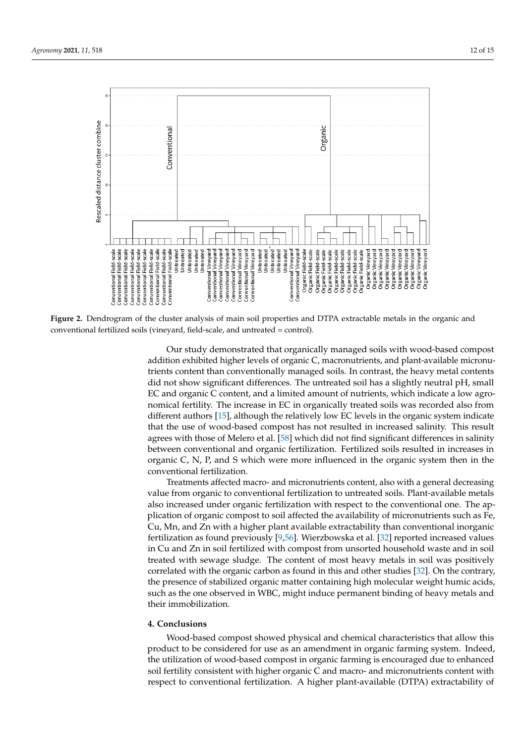<span id="page-11-0"></span>

Figure 2. Dendrogram of the cluster analysis of main soil properties and DTPA extractable metals in the organic and conventional fertilized soils (vineyard, field-scale, and untreated = control). conventional fertilized soils (vineyard, field-scale, and untreated = control).

Our study demonstrated that organically managed soils with wood-based compost addition exhibited higher levels of organic C, macronutrients, and plant-available micronutrients content than conventionally managed soils. In contrast, the heavy metal contents did not show significant differences. The untreated soil has a slightly neutral pH, small EC and organic C content, and a limited amount of nutrients, which indicate a low agronomical fertility. The increase in EC in organically treated soils was recorded also from different authors [15], although the relatively low EC levels in the organic system indicate that the use of wood-based compost has not resulted in increased salinity. This result agrees with those of Melero et al. [58] which did not find significant differences in salinity agrees with those of Melero et al. [\[58\]](#page-14-16) which did not find significant differences in salinity<br>between conventional and organic fertilization. Fertilized soils resulted in increases in organic C, N, P, and S which were more influenced in the organic system then in the conventional fertilization.

**4. Conclusions**  value from organic to conventional fertilization to untreated soils. Plant-available metals also increased under organic fertilization with respect to the conventional one. The application of organic compost to soil affected the availability of micronutrients such as Fe,<br>
contribution of  $\overline{B}$ Treatments affected macro- and micronutrients content, also with a general decreasing Cu, Mn, and Zn with a higher plant available extractability than conventional inorganic fertilization as found previously [\[9](#page-12-8)[,56\]](#page-14-14). Wierzbowska et al. [\[32\]](#page-13-17) reported increased values in Cu and Zn in soil fertilized with compost from unsorted household waste and in soil treated with sewage sludge. The content of most heavy metals in soil was positively correlated with the organic carbon as found in this and other studies [\[32\]](#page-13-17). On the contrary, the presence of stabilized organic matter containing high molecular weight humic acids, such as the one observed in WBC, might induce permanent binding of heavy metals and their immobilization.

## **4. Conclusions**

Wood-based compost showed physical and chemical characteristics that allow this product to be considered for use as an amendment in organic farming system. Indeed, the utilization of wood-based compost in organic farming is encouraged due to enhanced soil fertility consistent with higher organic C and macro- and micronutrients content with respect to conventional fertilization. A higher plant-available (DTPA) extractability of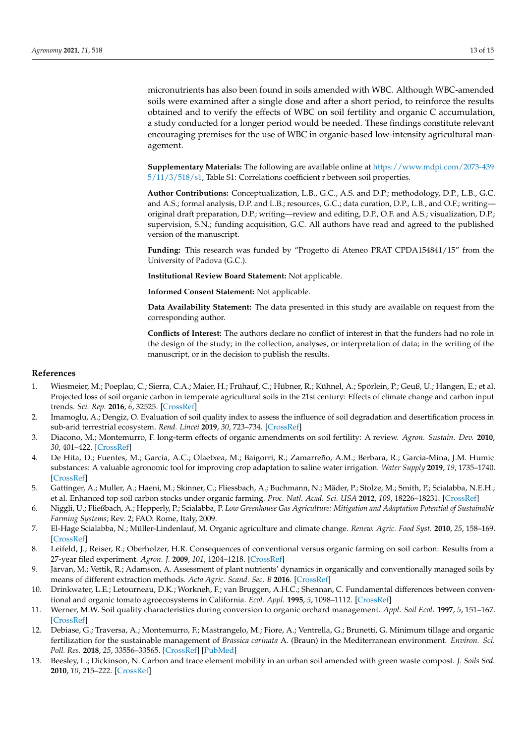micronutrients has also been found in soils amended with WBC. Although WBC-amended soils were examined after a single dose and after a short period, to reinforce the results obtained and to verify the effects of WBC on soil fertility and organic C accumulation, a study conducted for a longer period would be needed. These findings constitute relevant encouraging premises for the use of WBC in organic-based low-intensity agricultural management.

**Supplementary Materials:** The following are available online at [https://www.mdpi.com/2073-439](https://www.mdpi.com/2073-4395/11/3/518/s1) [5/11/3/518/s1,](https://www.mdpi.com/2073-4395/11/3/518/s1) Table S1: Correlations coefficient r between soil properties.

**Author Contributions:** Conceptualization, L.B., G.C., A.S. and D.P.; methodology, D.P., L.B., G.C. and A.S.; formal analysis, D.P. and L.B.; resources, G.C.; data curation, D.P., L.B., and O.F.; writing original draft preparation, D.P.; writing—review and editing, D.P., O.F. and A.S.; visualization, D.P.; supervision, S.N.; funding acquisition, G.C. All authors have read and agreed to the published version of the manuscript.

**Funding:** This research was funded by "Progetto di Ateneo PRAT CPDA154841/15" from the University of Padova (G.C.).

**Institutional Review Board Statement:** Not applicable.

**Informed Consent Statement:** Not applicable.

**Data Availability Statement:** The data presented in this study are available on request from the corresponding author.

**Conflicts of Interest:** The authors declare no conflict of interest in that the funders had no role in the design of the study; in the collection, analyses, or interpretation of data; in the writing of the manuscript, or in the decision to publish the results.

## **References**

- <span id="page-12-0"></span>1. Wiesmeier, M.; Poeplau, C.; Sierra, C.A.; Maier, H.; Frühauf, C.; Hübner, R.; Kühnel, A.; Spörlein, P.; Geuß, U.; Hangen, E.; et al. Projected loss of soil organic carbon in temperate agricultural soils in the 21st century: Effects of climate change and carbon input trends. *Sci. Rep.* **2016**, *6*, 32525. [\[CrossRef\]](http://doi.org/10.1038/srep32525)
- <span id="page-12-1"></span>2. ˙Imamoglu, A.; Dengiz, O. Evaluation of soil quality index to assess the influence of soil degradation and desertification process in sub-arid terrestrial ecosystem. *Rend. Lincei* **2019**, *30*, 723–734. [\[CrossRef\]](http://doi.org/10.1007/s12210-019-00833-5)
- <span id="page-12-2"></span>3. Diacono, M.; Montemurro, F. long-term effects of organic amendments on soil fertility: A review. *Agron. Sustain. Dev.* **2010**, *30*, 401–422. [\[CrossRef\]](http://doi.org/10.1051/agro/2009040)
- <span id="page-12-3"></span>4. De Hita, D.; Fuentes, M.; García, A.C.; Olaetxea, M.; Baigorri, R.; Zamarreño, A.M.; Berbara, R.; Garcia-Mina, J.M. Humic substances: A valuable agronomic tool for improving crop adaptation to saline water irrigation. *Water Supply* **2019**, *19*, 1735–1740. [\[CrossRef\]](http://doi.org/10.2166/ws.2019.047)
- <span id="page-12-4"></span>5. Gattinger, A.; Muller, A.; Haeni, M.; Skinner, C.; Fliessbach, A.; Buchmann, N.; Mäder, P.; Stolze, M.; Smith, P.; Scialabba, N.E.H.; et al. Enhanced top soil carbon stocks under organic farming. *Proc. Natl. Acad. Sci. USA* **2012**, *109*, 18226–18231. [\[CrossRef\]](http://doi.org/10.1073/pnas.1209429109)
- <span id="page-12-5"></span>6. Niggli, U.; Fließbach, A.; Hepperly, P.; Scialabba, P. *Low Greenhouse Gas Agriculture: Mitigation and Adaptation Potential of Sustainable Farming Systems*; Rev. 2; FAO: Rome, Italy, 2009.
- <span id="page-12-6"></span>7. El-Hage Scialabba, N.; Müller-Lindenlauf, M. Organic agriculture and climate change. *Renew. Agric. Food Syst.* **2010**, *25*, 158–169. [\[CrossRef\]](http://doi.org/10.1017/S1742170510000116)
- <span id="page-12-7"></span>8. Leifeld, J.; Reiser, R.; Oberholzer, H.R. Consequences of conventional versus organic farming on soil carbon: Results from a 27-year filed experiment. *Agron. J.* **2009**, *101*, 1204–1218. [\[CrossRef\]](http://doi.org/10.2134/agronj2009.0002)
- <span id="page-12-8"></span>9. Järvan, M.; Vettik, R.; Adamson, A. Assessment of plant nutrients' dynamics in organically and conventionally managed soils by means of different extraction methods. *Acta Agric. Scand. Sec. B* **2016**. [\[CrossRef\]](http://doi.org/10.1080/09064710.2016.1242645)
- <span id="page-12-9"></span>10. Drinkwater, L.E.; Letourneau, D.K.; Workneh, F.; van Bruggen, A.H.C.; Shennan, C. Fundamental differences between conventional and organic tomato agroecosystems in California. *Ecol. Appl.* **1995**, *5*, 1098–1112. [\[CrossRef\]](http://doi.org/10.2307/2269357)
- <span id="page-12-10"></span>11. Werner, M.W. Soil quality characteristics during conversion to organic orchard management. *Appl. Soil Ecol.* **1997**, *5*, 151–167. [\[CrossRef\]](http://doi.org/10.1016/S0929-1393(96)00139-4)
- <span id="page-12-11"></span>12. Debiase, G.; Traversa, A.; Montemurro, F.; Mastrangelo, M.; Fiore, A.; Ventrella, G.; Brunetti, G. Minimum tillage and organic fertilization for the sustainable management of *Brassica carinata* A. (Braun) in the Mediterranean environment. *Environ. Sci. Poll. Res.* **2018**, *25*, 33556–33565. [\[CrossRef\]](http://doi.org/10.1007/s11356-018-3244-z) [\[PubMed\]](http://www.ncbi.nlm.nih.gov/pubmed/30269278)
- <span id="page-12-12"></span>13. Beesley, L.; Dickinson, N. Carbon and trace element mobility in an urban soil amended with green waste compost. *J. Soils Sed.* **2010**, *10*, 215–222. [\[CrossRef\]](http://doi.org/10.1007/s11368-009-0112-y)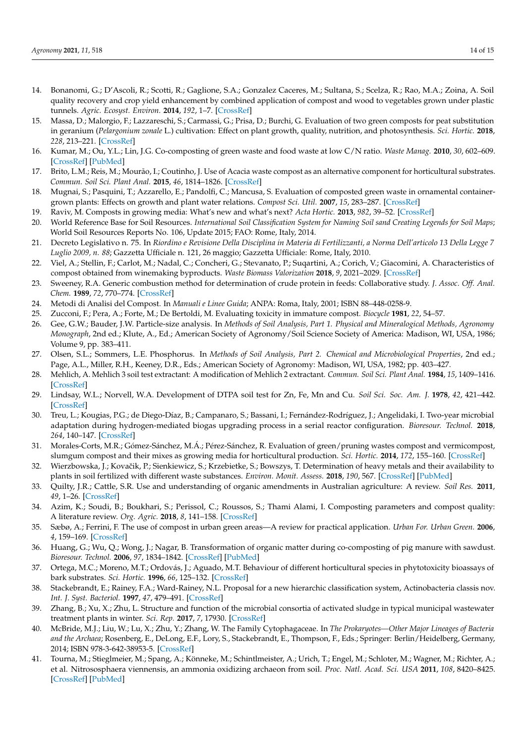- <span id="page-13-27"></span>14. Bonanomi, G.; D'Ascoli, R.; Scotti, R.; Gaglione, S.A.; Gonzalez Caceres, M.; Sultana, S.; Scelza, R.; Rao, M.A.; Zoina, A. Soil quality recovery and crop yield enhancement by combined application of compost and wood to vegetables grown under plastic tunnels. *Agric. Ecosyst. Environ.* **2014**, *192*, 1–7. [\[CrossRef\]](http://doi.org/10.1016/j.agee.2014.03.029)
- <span id="page-13-0"></span>15. Massa, D.; Malorgio, F.; Lazzareschi, S.; Carmassi, G.; Prisa, D.; Burchi, G. Evaluation of two green composts for peat substitution in geranium (*Pelargonium zonale* L.) cultivation: Effect on plant growth, quality, nutrition, and photosynthesis. *Sci. Hortic.* **2018**, *228*, 213–221. [\[CrossRef\]](http://doi.org/10.1016/j.scienta.2017.10.025)
- <span id="page-13-1"></span>16. Kumar, M.; Ou, Y.L.; Lin, J.G. Co-composting of green waste and food waste at low C/N ratio. *Waste Manag.* **2010**, *30*, 602–609. [\[CrossRef\]](http://doi.org/10.1016/j.wasman.2009.11.023) [\[PubMed\]](http://www.ncbi.nlm.nih.gov/pubmed/20034778)
- <span id="page-13-2"></span>17. Brito, L.M.; Reis, M.; Mourão, I.; Coutinho, J. Use of Acacia waste compost as an alternative component for horticultural substrates. *Commun. Soil Sci. Plant Anal.* **2015**, *46*, 1814–1826. [\[CrossRef\]](http://doi.org/10.1080/00103624.2015.1059843)
- <span id="page-13-3"></span>18. Mugnai, S.; Pasquini, T.; Azzarello, E.; Pandolfi, C.; Mancusa, S. Evaluation of composted green waste in ornamental containergrown plants: Effects on growth and plant water relations. *Compost Sci. Util.* **2007**, *15*, 283–287. [\[CrossRef\]](http://doi.org/10.1080/1065657X.2007.10702345)
- <span id="page-13-4"></span>19. Raviv, M. Composts in growing media: What's new and what's next? *Acta Hortic.* **2013**, *982*, 39–52. [\[CrossRef\]](http://doi.org/10.17660/ActaHortic.2013.982.3)
- <span id="page-13-5"></span>20. World Reference Base for Soil Resources. *International Soil Classification System for Naming Soil sand Creating Legends for Soil Maps*; World Soil Resources Reports No. 106, Update 2015; FAO: Rome, Italy, 2014.
- <span id="page-13-6"></span>21. Decreto Legislativo n. 75. In *Riordino e Revisione Della Disciplina in Materia di Fertilizzanti, a Norma Dell'articolo 13 Della Legge 7 Luglio 2009, n. 88*; Gazzetta Ufficiale n. 121, 26 maggio; Gazzetta Ufficiale: Rome, Italy, 2010.
- <span id="page-13-7"></span>22. Viel, A.; Stellin, F.; Carlot, M.; Nadal, C.; Concheri, G.; Stevanato, P.; Suqartini, A.; Corich, V.; Giacomini, A. Characteristics of compost obtained from winemaking byproducts. *Waste Biomass Valorization* **2018**, *9*, 2021–2029. [\[CrossRef\]](http://doi.org/10.1007/s12649-017-0160-2)
- <span id="page-13-8"></span>23. Sweeney, R.A. Generic combustion method for determination of crude protein in feeds: Collaborative study. *J. Assoc. Off. Anal. Chem.* **1989**, *72*, 770–774. [\[CrossRef\]](http://doi.org/10.1093/jaoac/72.5.770)
- <span id="page-13-9"></span>24. Metodi di Analisi del Compost. In *Manuali e Linee Guida*; ANPA: Roma, Italy, 2001; ISBN 88–448-0258-9.
- <span id="page-13-10"></span>25. Zucconi, F.; Pera, A.; Forte, M.; De Bertoldi, M. Evaluating toxicity in immature compost. *Biocycle* **1981**, *22*, 54–57.
- <span id="page-13-11"></span>26. Gee, G.W.; Bauder, J.W. Particle-size analysis. In *Methods of Soil Analysis, Part 1. Physical and Mineralogical Methods, Agronomy Monograph*, 2nd ed.; Klute, A., Ed.; American Society of Agronomy/Soil Science Society of America: Madison, WI, USA, 1986; Volume 9, pp. 383–411.
- <span id="page-13-12"></span>27. Olsen, S.L.; Sommers, L.E. Phosphorus. In *Methods of Soil Analysis, Part 2. Chemical and Microbiological Properties*, 2nd ed.; Page, A.L., Miller, R.H., Keeney, D.R., Eds.; American Society of Agronomy: Madison, WI, USA, 1982; pp. 403–427.
- <span id="page-13-13"></span>28. Mehlich, A. Mehlich 3 soil test extractant: A modification of Mehlich 2 extractant. *Commun. Soil Sci. Plant Anal.* **1984**, *15*, 1409–1416. [\[CrossRef\]](http://doi.org/10.1080/00103628409367568)
- <span id="page-13-14"></span>29. Lindsay, W.L.; Norvell, W.A. Development of DTPA soil test for Zn, Fe, Mn and Cu. *Soil Sci. Soc. Am. J.* **1978**, *42*, 421–442. [\[CrossRef\]](http://doi.org/10.2136/sssaj1978.03615995004200030009x)
- <span id="page-13-15"></span>30. Treu, L.; Kougias, P.G.; de Diego-Díaz, B.; Campanaro, S.; Bassani, I.; Fernández-Rodríguez, J.; Angelidaki, I. Two-year microbial adaptation during hydrogen-mediated biogas upgrading process in a serial reactor configuration. *Bioresour. Technol.* **2018**, *264*, 140–147. [\[CrossRef\]](http://doi.org/10.1016/j.biortech.2018.05.070)
- <span id="page-13-16"></span>31. Morales-Corts, M.R.; Gómez-Sánchez, M.Á.; Pérez-Sánchez, R. Evaluation of green/pruning wastes compost and vermicompost, slumgum compost and their mixes as growing media for horticultural production. *Sci. Hortic.* **2014**, *172*, 155–160. [\[CrossRef\]](http://doi.org/10.1016/j.scienta.2014.03.048)
- <span id="page-13-17"></span>32. Wierzbowska, J.; Kovačik, P.; Sienkiewicz, S.; Krzebietke, S.; Bowszys, T. Determination of heavy metals and their availability to plants in soil fertilized with different waste substances. *Environ. Monit. Assess.* **2018**, *190*, 567. [\[CrossRef\]](http://doi.org/10.1007/s10661-018-6941-7) [\[PubMed\]](http://www.ncbi.nlm.nih.gov/pubmed/30178215)
- <span id="page-13-18"></span>33. Quilty, J.R.; Cattle, S.R. Use and understanding of organic amendments in Australian agriculture: A review. *Soil Res.* **2011**, *49*, 1–26. [\[CrossRef\]](http://doi.org/10.1071/SR10059)
- <span id="page-13-19"></span>34. Azim, K.; Soudi, B.; Boukhari, S.; Perissol, C.; Roussos, S.; Thami Alami, I. Composting parameters and compost quality: A literature review. *Org. Agric.* **2018**, *8*, 141–158. [\[CrossRef\]](http://doi.org/10.1007/s13165-017-0180-z)
- <span id="page-13-20"></span>35. Sæbø, A.; Ferrini, F. The use of compost in urban green areas—A review for practical application. *Urban For. Urban Green.* **2006**, *4*, 159–169. [\[CrossRef\]](http://doi.org/10.1016/j.ufug.2006.01.003)
- <span id="page-13-21"></span>36. Huang, G.; Wu, Q.; Wong, J.; Nagar, B. Transformation of organic matter during co-composting of pig manure with sawdust. *Bioresour. Technol.* **2006**, *97*, 1834–1842. [\[CrossRef\]](http://doi.org/10.1016/j.biortech.2005.08.024) [\[PubMed\]](http://www.ncbi.nlm.nih.gov/pubmed/16289790)
- <span id="page-13-22"></span>37. Ortega, M.C.; Moreno, M.T.; Ordovás, J.; Aguado, M.T. Behaviour of different horticultural species in phytotoxicity bioassays of bark substrates. *Sci. Hortic.* **1996**, *66*, 125–132. [\[CrossRef\]](http://doi.org/10.1016/0304-4238(96)00900-4)
- <span id="page-13-23"></span>38. Stackebrandt, E.; Rainey, F.A.; Ward-Rainey, N.L. Proposal for a new hierarchic classification system, Actinobacteria classis nov. *Int. J. Syst. Bacteriol.* **1997**, *47*, 479–491. [\[CrossRef\]](http://doi.org/10.1099/00207713-47-2-479)
- <span id="page-13-24"></span>39. Zhang, B.; Xu, X.; Zhu, L. Structure and function of the microbial consortia of activated sludge in typical municipal wastewater treatment plants in winter. *Sci. Rep.* **2017**, *7*, 17930. [\[CrossRef\]](http://doi.org/10.1038/s41598-017-17743-x)
- <span id="page-13-25"></span>40. McBride, M.J.; Liu, W.; Lu, X.; Zhu, Y.; Zhang, W. The Family Cytophagaceae. In *The Prokaryotes—Other Major Lineages of Bacteria and the Archaea*; Rosenberg, E., DeLong, E.F., Lory, S., Stackebrandt, E., Thompson, F., Eds.; Springer: Berlin/Heidelberg, Germany, 2014; ISBN 978-3-642-38953-5. [\[CrossRef\]](http://doi.org/10.1007/978-3-642-38954-2_382)
- <span id="page-13-26"></span>41. Tourna, M.; Stieglmeier, M.; Spang, A.; Könneke, M.; Schintlmeister, A.; Urich, T.; Engel, M.; Schloter, M.; Wagner, M.; Richter, A.; et al. Nitrososphaera viennensis, an ammonia oxidizing archaeon from soil. *Proc. Natl. Acad. Sci. USA* **2011**, *108*, 8420–8425. [\[CrossRef\]](http://doi.org/10.1073/pnas.1013488108) [\[PubMed\]](http://www.ncbi.nlm.nih.gov/pubmed/21525411)